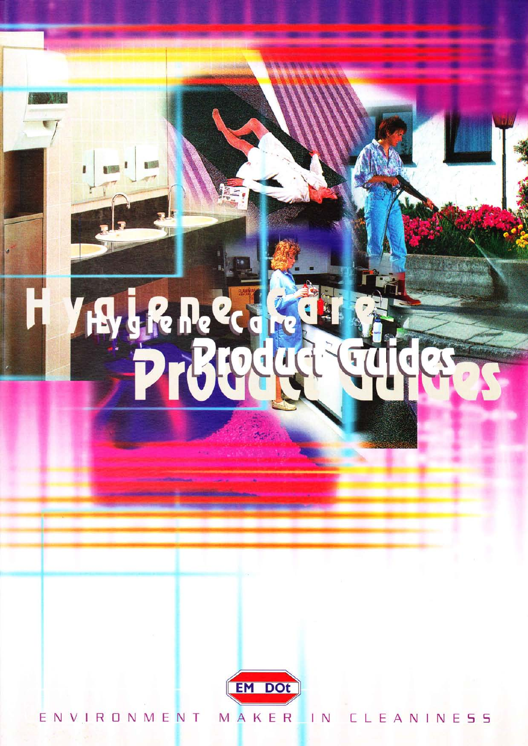# H **he** Œ

**NOW** 

T.

6日



ENVIRONMENT MAKER IN CLEANINESS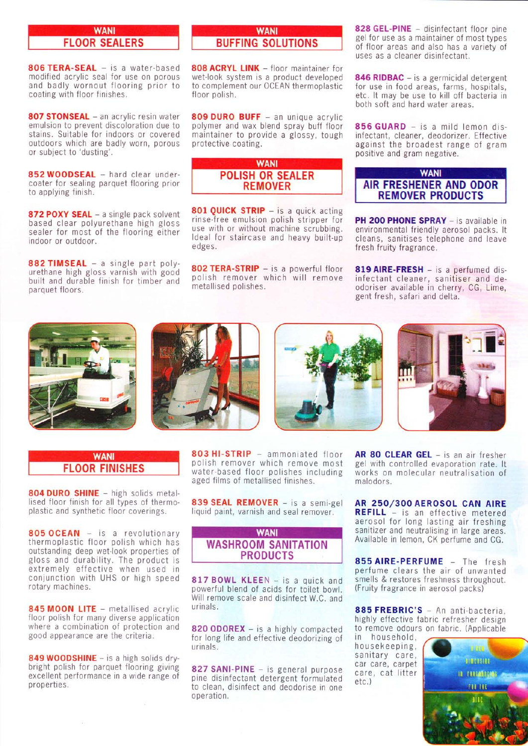#### **WANI** FLOOR SEALERS

806 TERA-SEAL - is a water-based modified acrylic seal for use on porous and badly wornout flooring prior to coating with floor finishes.

807 STONSEAL - an acrylic resin water emulsion to prevent discoloration due to stains. Suitable for indoors or covered outdoors which are badly worn, porous or subject to 'dusting'.

852 WOODSEAL - hard clear undercoater for sealing parquet flooring prior to applying finish.

872 POXY SEAL - a single pack solvent based clear polyurethane high gloss sealer for most of the flooring either indoor or outdoor.

882 TIMSEAL - a single part polyurethane high gloss varnish with good built and durable finish for timber and parquet floors.

## **WANI** BUFFING SOLUTIONS

808 ACRYL LINK - floor maintainer for wet-look system is a product developed to complement our OCEAN thermoplastic floor polish.

809 DURO BUFF - an unique acrylic polymer and wax blend spray buff floor maintainer to provide a glossy, tough protective coating.

#### **WANI** POLISH OR SEALER REMOVER

801 QUICK STRIP - is a quick acting rinse-free emulsion polish stripper for use with or without machine scrubbing. ldeal for staircase and heavy built-up edges.

802 TERA-STRIP - is a powerful floor<br>polish remover which will remove metallised polishes.

828 GEL-PINE - disinfectant floor pine gel for use as a maintainer of most types of floor areas and also has a variety of uses as a cleaner disinfectant.

846 RIDBAC - is a germicidal detergent for use in food areas, farms, hospitals, etc. lt may be use to kill off bacteria in both soft and hard water areas.

856 GUARD - is a mild lemon disinfectant, cleaner, deodorizer. Effective against the broadest range of gram positive and gram negative.

## **WANI** AIR FRESHENER AND ODOR REMOVER PRODUCTS

PH 200 PHONE SPRAY - is available in environmental friendly aerosol packs. lt cleans, sanitises telephone and leave fresh fruity fragrance.

819 AIRE-FRESH - is a perfumed disinfectant cleaner, sanitiser and deodoriser available in cherry, CG, Lime, gent fresh, safari and delta.









### **WANI** FLOOR FINISHES

804 DURO SHINE - high solids metallised floor finish for all types of thermoplastic and synthetic floor coverings.

805 OCEAN - is a revolutionary thermoplastic floor polish which has outstanding deep wet-look properties of gloss and durability. The product is extremely effective when used in conjunction with UHS or high speed rotary machines.

845 MOON LITE - metallised acrylic <sup>f</sup>loor polish for many diverse application where a combination of protection and good appearance are the criteria:

849 WOODSHINE - is a high solids drybright polish for parquet flooring giving excellent performance in a wide range of properties.

803 HI-STRIP - ammoniated floor polish remover which remove most water-based floor polishes including aged films of metallised finishes.

839 SEAL REMOVER - is a semi-gel liquid paint, varnish and seal remover.



817 BOWL KLEEN - is a quick and powerful blend of acids for toilet bowl. Will remove scale and disinfect W.C. and urinals.

820 ODOREX - is a highly compacted for long life and effective deodorizing of urinals.

827 SANI-PINE - is general purpose pine disinfectant detergent formulated to clean, disinfect and deodorise in one operation.

AR 80 CLEAR GEL - is an air fresher gel with controlled evaporation rate. lt works on molecular neutralisation of malodors.

AR 250/300 AEROSOL CAN AIRE REFILL - is an effective metered aerosol for long lasting air freshing sanitizer and neutralising in large areas. Available in lemon, CK perfume and CG.

855 AIRE-PERFUME - The fresh perfume clears the air of unwanted smells & restores freshness throughout. (Fruity fragrance in aerosol packs)

885 FREBRIC'S - An anti-bacteria, highly effective fabric refresher design to remove odours on fabric. (Applicable

in household, housekeeping, sanitary care, car care, carpet care, cat litter etc. )

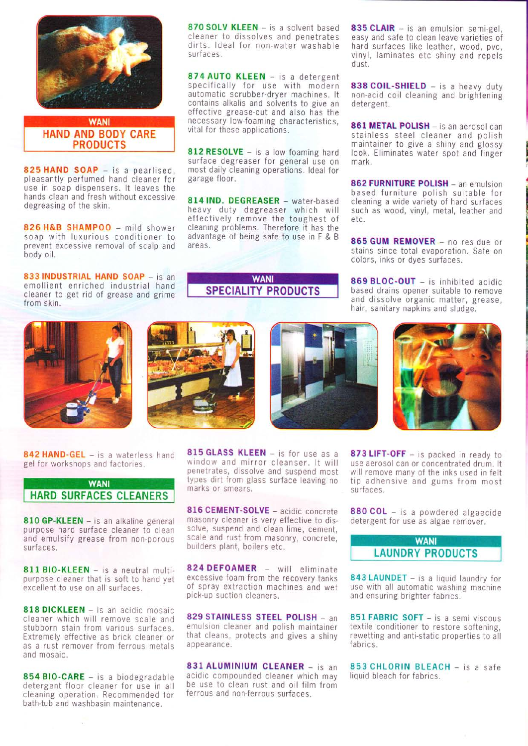

## **WANI** HAND AND BODY CARE PRODUCTS

825 HAND SOAP - is a pearlised, pleasantly perfumed hand cleaner for use in soap dispensers. lt leaves the hands clean and fresh without excessive degreasing of the skin.

826 H&B SHAMPOO - mild shower soap with luxurious conditioner to prevent excessive removal of scalp and body oil.

833 INDUSTRIAL HAND SOAP - is an emollient enriched industrial hand cleaner to get rid of grease and grime from skin.

870 SOLV KLEEN  $-$  is a solvent based 835 CLAIR  $-$  is an emulsion semi-gel, cleaner to dissolves and penetrates easy and safe to clean leave varieties of

874 AUTO KLEEN - is a detergent specifically for use with modern **838 COIL-SHIELD**  $-$  is a heavy duty automatic scrubber-dryer machines. It non-acid coil cleaning and brightening automatic scrubber-dryer machines. It non-acid contains alkalis and solvents to give an detergent. contains alkalis and solvents to give an effective grease-cut and also has the<br>necessary low-foaming characteristics,

812 RESOLVE - is a low foaming hard look. Eliminates water spot and finger surface degreaser for general use on mark. surface degreaser for general use on most daily cleaning operations. ldeal for most dany creating operations: ideal for **862 FURNITURE POLISH** – an emulsion

heavy duty degreaser which will such as wood, vinyl, metal, leather and effectively remove the toughest of cleaning problems. Therefore it has the advantage of being safe to use in F & B  $\,$  865 GUM REMOVER - no residue or areas.

**WANI** SPEGIALITY PRODUCTS

dirts. Ideal for non-water washable hard surfaces like leather, wood, pvc, surfaces. vinyl, laminates etc shiny and repels dust.

necessary low-foaming characteristics, **861 METAL POLISH** – is an aerosol can vital for these applications.<br>
stainless steel cleaner and polish<br>
maintainer to give a shiny and glossy

based furniture polish suitable for<br>cleaning a wide variety of hard surfaces 814 IND. DEGREASER - water-based cleaning a wide variety of hard surfaces heavy duty degreaser which will such as wood, vinyl, metal, leather and

> stains since total evaporation. Safe on colors, inks or dyes surfaces.

> 869 BLOC-OUT - is inhibited acidic based drains opener suitable to remove and dissolve organic matter, grease, hair, sanitary napkins and sludge.









842 HAND-GEL - is a waterless hand gel for workshops and factories.

# **WANI** HARD SURFACES CLEANERS

810 GP-KLEEN - is an alkaline general purpose hard surface cleaner to clean and emulsify grease from non-porous surfaces.

811 BIO-KLEEN - is a neutral multipurpose cleaner that is soft to hand yet excellent to use on all surfaces.

818 DICKLEEN - is an acidic mosaic cleaner which will remove scale and stubborn stain from various surfaces. Extremely effective as brick cleaner or as a rust remover from ferrous metals and mosaic.

854 BIO-CARE - is a biodegradable detergent floor cleaner for use in all cleaning operation. Recommended for bath-tub and washbasin maintenance.

 $\ddot{\phantom{a}}$ 

815 GLASS KLEEN - is for use as a window and mirror cleanser. lt will penetrates, dissolve and suspend most types dirt from glass surface leaving no marks or smears.

816 CEMENT-SOLVE - acidic concrete masonry cleaner is very effective to dissolve, suspend and clean lime, cement, scale and rust from masonry, concrete, builders plant, boilers etc.

824 DEFOAMER - will eliminate excessive foam from the recovery tanks of spray extraction machines and wet pick-up suction cleaners.

829 STAINLESS STEEL POLISH - an emulsion cleaner and polish maintainer that cleans, protects and gives a shiny appearance.

831 ALUMINIUM CLEANER - is an acidic compounded cleaner which may be use to clean rust and oil film from ferrous and non-ferrous surfaces.

873 LIFT-OFF - is packed in ready to use aerosol can or concentrated drum. lt will remove many of the inks used in felt tip adhensive and gums from most surfaces.

880 COL - is a powdered algaecide detergent for use as algae remover.



843 LAUNDET - is a liquid laundry for use with all automatic washing machine and ensuring brighter fabrics.

851 FABRIC SOFT - is a semi viscous textile conditioner to restore softening, rewetting and anti-static properties to all fabrics.

853 CHLORIN BLEACH - is a safe liquid bleach for fabrics.